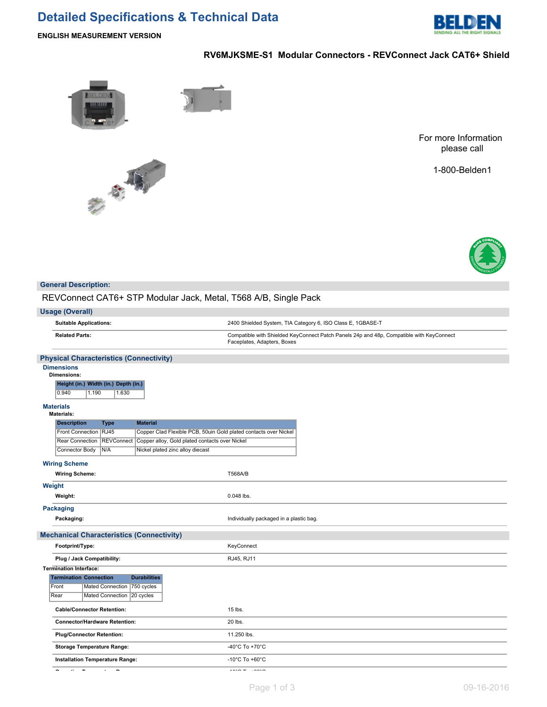# **Detailed Specifications & Technical Data**



**ENGLISH MEASUREMENT VERSION**

# **RV6MJKSME-S1 Modular Connectors - REVConnect Jack CAT6+ Shield**



大家

For more Information please call

1-800-Belden1



#### **General Description:**

REVConnect CAT6+ STP Modular Jack, Metal, T568 A/B, Single Pack

#### **Usage (Overall)**

**Suitable Applications:** 2400 Shielded System, TIA Category 6, ISO Class E, 1GBASE-T **Related Parts:** Compatible with Shielded KeyConnect Patch Panels 24p and 48p, Compatible with KeyConnect Faceplates, Adapters, Boxes

#### **Physical Characteristics (Connectivity)**

#### **Dimensions Dime**

| 1611910119.                          |       |       |
|--------------------------------------|-------|-------|
| Height (in.) Width (in.) Depth (in.) |       |       |
| 0.940                                | 1.190 | 1.630 |

## **Materials**

| <b>Materials:</b>             |                                      |                                                                  |                                         |
|-------------------------------|--------------------------------------|------------------------------------------------------------------|-----------------------------------------|
| <b>Description</b>            | <b>Type</b>                          | <b>Material</b>                                                  |                                         |
|                               | Front Connection RJ45                | Copper Clad Flexible PCB, 50uin Gold plated contacts over Nickel |                                         |
| <b>Rear Connection</b>        | <b>REVConnect</b>                    | Copper alloy, Gold plated contacts over Nickel                   |                                         |
| Connector Body                | N/A                                  | Nickel plated zinc alloy diecast                                 |                                         |
| <b>Wiring Scheme</b>          |                                      |                                                                  |                                         |
| <b>Wiring Scheme:</b>         |                                      |                                                                  | <b>T568A/B</b>                          |
| Weight                        |                                      |                                                                  |                                         |
| Weight:                       |                                      |                                                                  | 0.048 lbs.                              |
| <b>Packaging</b>              |                                      |                                                                  |                                         |
| Packaging:                    |                                      |                                                                  | Individually packaged in a plastic bag. |
|                               |                                      | <b>Mechanical Characteristics (Connectivity)</b>                 |                                         |
| Footprint/Type:               |                                      |                                                                  | KeyConnect                              |
|                               | Plug / Jack Compatibility:           |                                                                  | RJ45, RJ11                              |
| <b>Termination Interface:</b> |                                      |                                                                  |                                         |
| <b>Termination Connection</b> |                                      | <b>Durabilities</b>                                              |                                         |
| Front                         | Mated Connection 750 cycles          |                                                                  |                                         |
| Rear                          | Mated Connection 20 cycles           |                                                                  |                                         |
|                               | <b>Cable/Connector Retention:</b>    |                                                                  | 15 lbs.                                 |
|                               | <b>Connector/Hardware Retention:</b> |                                                                  | 20 lbs.                                 |
|                               | <b>Plug/Connector Retention:</b>     |                                                                  | 11.250 lbs.                             |
|                               | <b>Storage Temperature Range:</b>    |                                                                  | -40 $^{\circ}$ C To +70 $^{\circ}$ C    |
|                               | Installation Temperature Range:      |                                                                  | -10 $^{\circ}$ C To +60 $^{\circ}$ C    |

**Operating Temperature Range:** -10°C To +60°C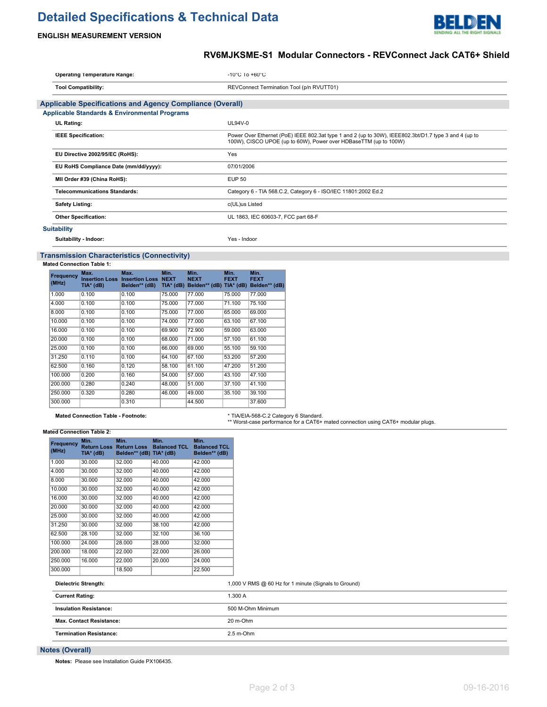# **Detailed Specifications & Technical Data**



# **ENGLISH MEASUREMENT VERSION**

# **RV6MJKSME-S1 Modular Connectors - REVConnect Jack CAT6+ Shield**

| <b>Operating Temperature Range:</b>                              | $-10^{\circ}$ C 10 $+60^{\circ}$ C                                                                                                                                        |
|------------------------------------------------------------------|---------------------------------------------------------------------------------------------------------------------------------------------------------------------------|
| <b>Tool Compatibility:</b>                                       | REVConnect Termination Tool (p/n RVUTT01)                                                                                                                                 |
| <b>Applicable Specifications and Agency Compliance (Overall)</b> |                                                                                                                                                                           |
| <b>Applicable Standards &amp; Environmental Programs</b>         |                                                                                                                                                                           |
| <b>UL Rating:</b>                                                | $UL94V-0$                                                                                                                                                                 |
| <b>IEEE Specification:</b>                                       | Power Over Ethernet (PoE) IEEE 802.3at type 1 and 2 (up to 30W), IEEE802.3bt/D1.7 type 3 and 4 (up to<br>100W), CISCO UPOE (up to 60W), Power over HDBaseTTM (up to 100W) |
| EU Directive 2002/95/EC (RoHS):                                  | Yes                                                                                                                                                                       |
| EU RoHS Compliance Date (mm/dd/yyyy):                            | 07/01/2006                                                                                                                                                                |
| MII Order #39 (China RoHS):                                      | <b>EUP 50</b>                                                                                                                                                             |
| <b>Telecommunications Standards:</b>                             | Category 6 - TIA 568.C.2, Category 6 - ISO/IEC 11801:2002 Ed.2                                                                                                            |
| <b>Safety Listing:</b>                                           | c(UL)us Listed                                                                                                                                                            |
| <b>Other Specification:</b>                                      | UL 1863, IEC 60603-7, FCC part 68-F                                                                                                                                       |
| <b>Suitability</b>                                               |                                                                                                                                                                           |
| Suitability - Indoor:                                            | Yes - Indoor                                                                                                                                                              |

## **Transmission Characteristics (Connectivity)**

#### **Mated Connection Table 1:**

| Frequency<br>(MHz) | Max.<br>TIA* (dB) | Max.<br><b>Insertion Loss Insertion Loss</b><br>Belden** (dB) | Min.<br><b>NEXT</b><br>$TIA*$ (dB) | Min.<br><b>NEXT</b><br>Belden** (dB) TIA* (dB) | Min.<br><b>FEXT</b> | Min.<br><b>FEXT</b><br>Belden** (dB) |
|--------------------|-------------------|---------------------------------------------------------------|------------------------------------|------------------------------------------------|---------------------|--------------------------------------|
| 1.000              | 0.100             | 0.100                                                         | 75.000                             | 77.000                                         | 75,000              | 77.000                               |
| 4.000              | 0.100             | 0.100                                                         | 75.000                             | 77.000                                         | 71.100              | 75.100                               |
| 8.000              | 0.100             | 0.100                                                         | 75.000                             | 77.000                                         | 65.000              | 69.000                               |
| 10.000             | 0.100             | 0.100                                                         | 74.000                             | 77.000                                         | 63.100              | 67.100                               |
| 16,000             | 0.100             | 0.100                                                         | 69.900                             | 72.900                                         | 59.000              | 63.000                               |
| 20.000             | 0.100             | 0.100                                                         | 68.000                             | 71.000                                         | 57.100              | 61.100                               |
| 25,000             | 0.100             | 0.100                                                         | 66.000                             | 69,000                                         | 55.100              | 59.100                               |
| 31.250             | 0.110             | 0.100                                                         | 64.100                             | 67.100                                         | 53.200              | 57.200                               |
| 62.500             | 0.160             | 0.120                                                         | 58.100                             | 61.100                                         | 47.200              | 51.200                               |
| 100.000            | 0.200             | 0.160                                                         | 54.000                             | 57.000                                         | 43.100              | 47.100                               |
| 200.000            | 0.280             | 0.240                                                         | 48.000                             | 51.000                                         | 37.100              | 41.100                               |
| 250.000            | 0.320             | 0.280                                                         | 46.000                             | 49.000                                         | 35.100              | 39.100                               |
| 300.000            |                   | 0.310                                                         |                                    | 44.500                                         |                     | 37.600                               |

# Mated Connection Table - Footnote: **\* TIA/EIA-568-C.2 Category 6 Standard.**<br>\*\* Worst-case performance for a CAT6+ mated connection using CAT6+ modular plugs.

#### **Mated Connection Table 2:**

| Frequency<br>(MHz) | Min.<br>Return Loss<br>TIA* (dB) | Min.<br><b>Return Loss</b><br>Belden** (dB) TIA* (dB) | Min.<br><b>Balanced TCL</b> | Min.<br><b>Balanced TCL</b><br>Belden** (dB) |
|--------------------|----------------------------------|-------------------------------------------------------|-----------------------------|----------------------------------------------|
| 1.000              | 30.000                           | 32.000                                                | 40.000                      | 42.000                                       |
| 4.000              | 30.000                           | 32.000                                                | 40.000                      | 42.000                                       |
| 8.000              | 30.000                           | 32.000                                                | 40.000                      | 42.000                                       |
| 10.000             | 30.000                           | 32.000                                                | 40.000                      | 42.000                                       |
| 16.000             | 30.000                           | 32.000                                                | 40.000                      | 42.000                                       |
| 20.000             | 30.000                           | 32.000                                                | 40.000                      | 42.000                                       |
| 25.000             | 30.000                           | 32.000                                                | 40.000                      | 42.000                                       |
| 31.250             | 30.000                           | 32.000                                                | 38.100                      | 42.000                                       |
| 62.500             | 28.100                           | 32.000                                                | 32.100                      | 36.100                                       |
| 100.000            | 24.000                           | 28.000                                                | 28.000                      | 32.000                                       |
| 200,000            | 18,000                           | 22.000                                                | 22.000                      | 26.000                                       |
| 250.000            | 16.000                           | 22.000                                                | 20.000                      | 24.000                                       |
| 300.000            |                                  | 18.500                                                |                             | 22.500                                       |

| .<br>.<br>.                    |                                                      |
|--------------------------------|------------------------------------------------------|
| Dielectric Strength:           | 1,000 V RMS @ 60 Hz for 1 minute (Signals to Ground) |
| <b>Current Rating:</b>         | 1.300 A                                              |
| <b>Insulation Resistance:</b>  | 500 M-Ohm Minimum                                    |
| Max. Contact Resistance:       | 20 m-Ohm                                             |
| <b>Termination Resistance:</b> | $2.5$ m-Ohm                                          |

## **Notes (Overall)**

**Notes:** Please see Installation Guide PX106435.